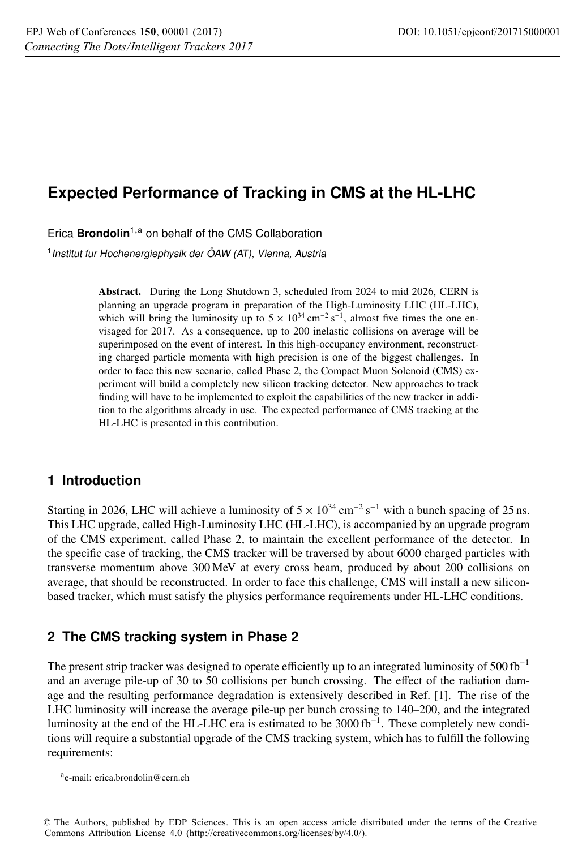# **Expected Performance of Tracking in CMS at the HL-LHC**

Erica **Brondolin**1,<sup>a</sup> on behalf of the CMS Collaboration

<sup>1</sup> Institut fur Hochenergiephysik der ÖAW (AT), Vienna, Austria

Abstract. During the Long Shutdown 3, scheduled from 2024 to mid 2026, CERN is planning an upgrade program in preparation of the High-Luminosity LHC (HL-LHC), which will bring the luminosity up to  $5 \times 10^{34}$  cm<sup>-2</sup> s<sup>-1</sup>, almost five times the one envisaged for 2017. As a consequence, up to 200 inelastic collisions on average will be superimposed on the event of interest. In this high-occupancy environment, reconstructing charged particle momenta with high precision is one of the biggest challenges. In order to face this new scenario, called Phase 2, the Compact Muon Solenoid (CMS) experiment will build a completely new silicon tracking detector. New approaches to track finding will have to be implemented to exploit the capabilities of the new tracker in addition to the algorithms already in use. The expected performance of CMS tracking at the HL-LHC is presented in this contribution.

## **1 Introduction**

Starting in 2026, LHC will achieve a luminosity of  $5 \times 10^{34}$  cm<sup>-2</sup> s<sup>-1</sup> with a bunch spacing of 25 ns. This LHC upgrade, called High-Luminosity LHC (HL-LHC), is accompanied by an upgrade program of the CMS experiment, called Phase 2, to maintain the excellent performance of the detector. In the specific case of tracking, the CMS tracker will be traversed by about 6000 charged particles with transverse momentum above 300 MeV at every cross beam, produced by about 200 collisions on average, that should be reconstructed. In order to face this challenge, CMS will install a new siliconbased tracker, which must satisfy the physics performance requirements under HL-LHC conditions.

## **2 The CMS tracking system in Phase 2**

The present strip tracker was designed to operate efficiently up to an integrated luminosity of 500 fb<sup>-1</sup> and an average pile-up of 30 to 50 collisions per bunch crossing. The effect of the radiation damage and the resulting performance degradation is extensively described in Ref. [1]. The rise of the LHC luminosity will increase the average pile-up per bunch crossing to 140–200, and the integrated luminosity at the end of the HL-LHC era is estimated to be 3000 fb<sup>-1</sup>. These completely new conditions will require a substantial upgrade of the CMS tracking system, which has to fulfill the following requirements:

ae-mail: erica.brondolin@cern.ch

<sup>©</sup> The Authors, published by EDP Sciences. This is an open access article distributed under the terms of the Creative Commons Attribution License 4.0 (http://creativecommons.org/licenses/by/4.0/).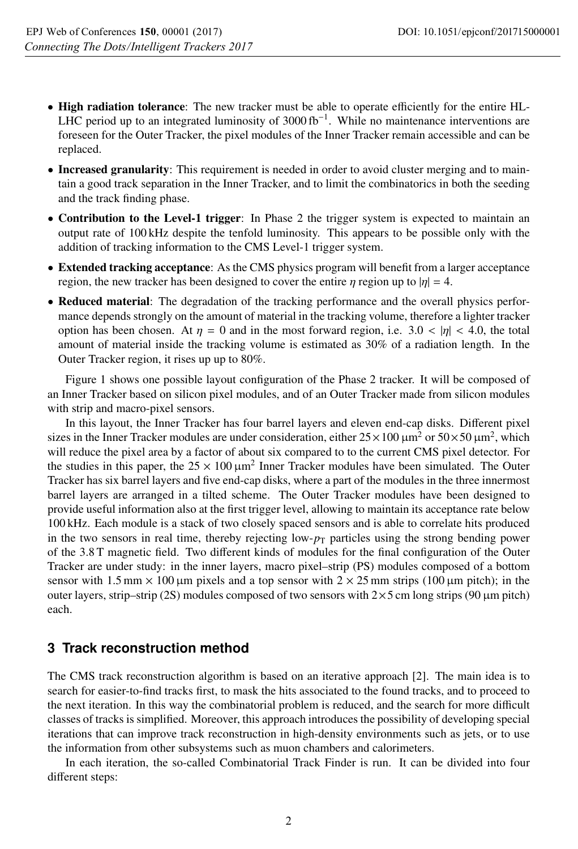- High radiation tolerance: The new tracker must be able to operate efficiently for the entire HL-LHC period up to an integrated luminosity of  $3000 \text{ fb}^{-1}$ . While no maintenance interventions are foreseen for the Outer Tracker, the pixel modules of the Inner Tracker remain accessible and can be replaced.
- Increased granularity: This requirement is needed in order to avoid cluster merging and to maintain a good track separation in the Inner Tracker, and to limit the combinatorics in both the seeding and the track finding phase.
- Contribution to the Level-1 trigger: In Phase 2 the trigger system is expected to maintain an output rate of 100 kHz despite the tenfold luminosity. This appears to be possible only with the addition of tracking information to the CMS Level-1 trigger system.
- Extended tracking acceptance: As the CMS physics program will benefit from a larger acceptance region, the new tracker has been designed to cover the entire  $\eta$  region up to  $|\eta| = 4$ .
- Reduced material: The degradation of the tracking performance and the overall physics performance depends strongly on the amount of material in the tracking volume, therefore a lighter tracker option has been chosen. At  $\eta = 0$  and in the most forward region, i.e. 3.0  $\langle \eta |$   $\langle 4.0, \text{ the total} \rangle$ amount of material inside the tracking volume is estimated as 30% of a radiation length. In the Outer Tracker region, it rises up up to 80%.

Figure 1 shows one possible layout configuration of the Phase 2 tracker. It will be composed of an Inner Tracker based on silicon pixel modules, and of an Outer Tracker made from silicon modules with strip and macro-pixel sensors.

In this layout, the Inner Tracker has four barrel layers and eleven end-cap disks. Different pixel sizes in the Inner Tracker modules are under consideration, either  $25 \times 100 \,\mu m^2$  or  $50 \times 50 \,\mu m^2$ , which will reduce the pixel area by a factor of about six compared to to the current CMS pixel detector. For the studies in this paper, the  $25 \times 100 \mu m^2$  Inner Tracker modules have been simulated. The Outer Tracker has six barrel layers and five end-cap disks, where a part of the modules in the three innermost barrel layers are arranged in a tilted scheme. The Outer Tracker modules have been designed to provide useful information also at the first trigger level, allowing to maintain its acceptance rate below 100 kHz. Each module is a stack of two closely spaced sensors and is able to correlate hits produced in the two sensors in real time, thereby rejecting low- $p<sub>T</sub>$  particles using the strong bending power of the 3.8 T magnetic field. Two different kinds of modules for the final configuration of the Outer Tracker are under study: in the inner layers, macro pixel–strip (PS) modules composed of a bottom sensor with 1.5 mm  $\times$  100 µm pixels and a top sensor with 2  $\times$  25 mm strips (100 µm pitch); in the outer layers, strip–strip (2S) modules composed of two sensors with  $2\times 5$  cm long strips (90  $\mu$ m pitch) each.

### **3 Track reconstruction method**

The CMS track reconstruction algorithm is based on an iterative approach [2]. The main idea is to search for easier-to-find tracks first, to mask the hits associated to the found tracks, and to proceed to the next iteration. In this way the combinatorial problem is reduced, and the search for more difficult classes of tracks is simplified. Moreover, this approach introduces the possibility of developing special iterations that can improve track reconstruction in high-density environments such as jets, or to use the information from other subsystems such as muon chambers and calorimeters.

In each iteration, the so-called Combinatorial Track Finder is run. It can be divided into four different steps: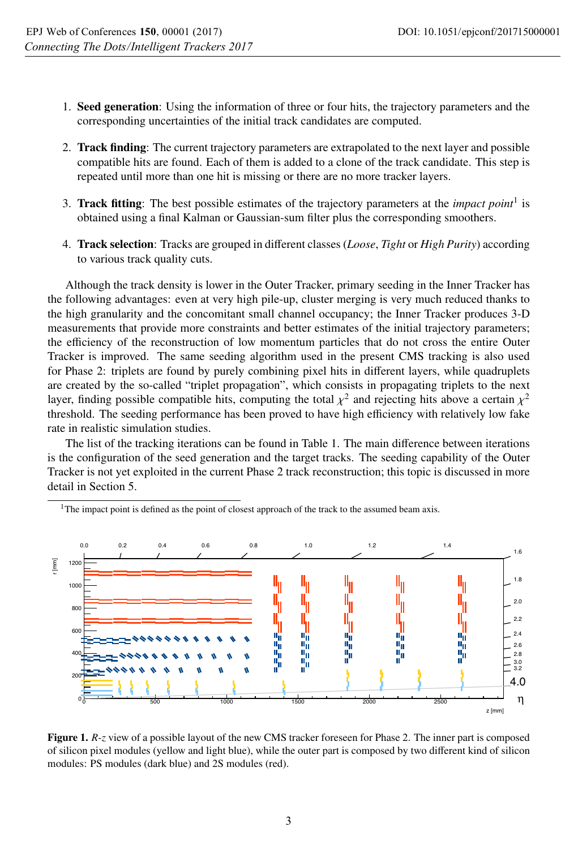- 1. Seed generation: Using the information of three or four hits, the trajectory parameters and the corresponding uncertainties of the initial track candidates are computed.
- 2. Track finding: The current trajectory parameters are extrapolated to the next layer and possible compatible hits are found. Each of them is added to a clone of the track candidate. This step is repeated until more than one hit is missing or there are no more tracker layers.
- 3. Track fitting: The best possible estimates of the trajectory parameters at the *impact point*<sup>1</sup> is obtained using a final Kalman or Gaussian-sum filter plus the corresponding smoothers.
- 4. Track selection: Tracks are grouped in different classes (*Loose*, *Tight* or *High Purity*) according to various track quality cuts.

Although the track density is lower in the Outer Tracker, primary seeding in the Inner Tracker has the following advantages: even at very high pile-up, cluster merging is very much reduced thanks to the high granularity and the concomitant small channel occupancy; the Inner Tracker produces 3-D measurements that provide more constraints and better estimates of the initial trajectory parameters; the efficiency of the reconstruction of low momentum particles that do not cross the entire Outer Tracker is improved. The same seeding algorithm used in the present CMS tracking is also used for Phase 2: triplets are found by purely combining pixel hits in different layers, while quadruplets are created by the so-called "triplet propagation", which consists in propagating triplets to the next layer, finding possible compatible hits, computing the total  $\chi^2$  and rejecting hits above a certain  $\chi^2$ threshold. The seeding performance has been proved to have high efficiency with relatively low fake rate in realistic simulation studies.

The list of the tracking iterations can be found in Table 1. The main difference between iterations is the configuration of the seed generation and the target tracks. The seeding capability of the Outer Tracker is not yet exploited in the current Phase 2 track reconstruction; this topic is discussed in more detail in Section 5.



<sup>1</sup>The impact point is defined as the point of closest approach of the track to the assumed beam axis.

Figure 1. *R*-*z* view of a possible layout of the new CMS tracker foreseen for Phase 2. The inner part is composed of silicon pixel modules (yellow and light blue), while the outer part is composed by two different kind of silicon modules: PS modules (dark blue) and 2S modules (red).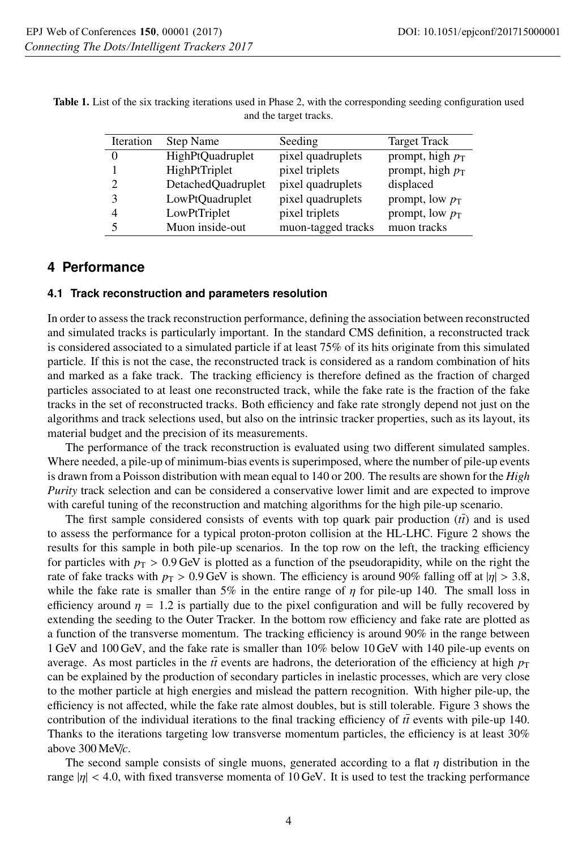| Iteration | Step Name               | Seeding            | <b>Target Track</b> |
|-----------|-------------------------|--------------------|---------------------|
|           | <b>HighPtQuadruplet</b> | pixel quadruplets  | prompt, high $p_T$  |
|           | HighPtTriplet           | pixel triplets     | prompt, high $p_T$  |
| 2         | DetachedQuadruplet      | pixel quadruplets  | displaced           |
| 3         | LowPtQuadruplet         | pixel quadruplets  | prompt, low $p_T$   |
| 4         | LowPtTriplet            | pixel triplets     | prompt, low $p_T$   |
| 5         | Muon inside-out         | muon-tagged tracks | muon tracks         |

Table 1. List of the six tracking iterations used in Phase 2, with the corresponding seeding configuration used and the target tracks.

### **4 Performance**

#### **4.1 Track reconstruction and parameters resolution**

In order to assess the track reconstruction performance, defining the association between reconstructed and simulated tracks is particularly important. In the standard CMS definition, a reconstructed track is considered associated to a simulated particle if at least 75% of its hits originate from this simulated particle. If this is not the case, the reconstructed track is considered as a random combination of hits and marked as a fake track. The tracking efficiency is therefore defined as the fraction of charged particles associated to at least one reconstructed track, while the fake rate is the fraction of the fake tracks in the set of reconstructed tracks. Both efficiency and fake rate strongly depend not just on the algorithms and track selections used, but also on the intrinsic tracker properties, such as its layout, its material budget and the precision of its measurements.

The performance of the track reconstruction is evaluated using two different simulated samples. Where needed, a pile-up of minimum-bias events is superimposed, where the number of pile-up events is drawn from a Poisson distribution with mean equal to 140 or 200. The results are shown for the *High Purity* track selection and can be considered a conservative lower limit and are expected to improve with careful tuning of the reconstruction and matching algorithms for the high pile-up scenario.

The first sample considered consists of events with top quark pair production  $(t\bar{t})$  and is used to assess the performance for a typical proton-proton collision at the HL-LHC. Figure 2 shows the results for this sample in both pile-up scenarios. In the top row on the left, the tracking efficiency for particles with  $p_T > 0.9$  GeV is plotted as a function of the pseudorapidity, while on the right the rate of fake tracks with  $p_T > 0.9$  GeV is shown. The efficiency is around 90% falling off at  $|\eta| > 3.8$ , while the fake rate is smaller than 5% in the entire range of  $\eta$  for pile-up 140. The small loss in efficiency around  $\eta = 1.2$  is partially due to the pixel configuration and will be fully recovered by extending the seeding to the Outer Tracker. In the bottom row efficiency and fake rate are plotted as a function of the transverse momentum. The tracking efficiency is around 90% in the range between 1 GeV and 100 GeV, and the fake rate is smaller than 10% below 10 GeV with 140 pile-up events on average. As most particles in the  $t\bar{t}$  events are hadrons, the deterioration of the efficiency at high  $p_T$ can be explained by the production of secondary particles in inelastic processes, which are very close to the mother particle at high energies and mislead the pattern recognition. With higher pile-up, the efficiency is not affected, while the fake rate almost doubles, but is still tolerable. Figure 3 shows the contribution of the individual iterations to the final tracking efficiency of  $t\bar{t}$  events with pile-up 140. Thanks to the iterations targeting low transverse momentum particles, the efficiency is at least 30% above 300 MeV/*c*.

The second sample consists of single muons, generated according to a flat  $\eta$  distribution in the range  $|\eta| < 4.0$ , with fixed transverse momenta of 10 GeV. It is used to test the tracking performance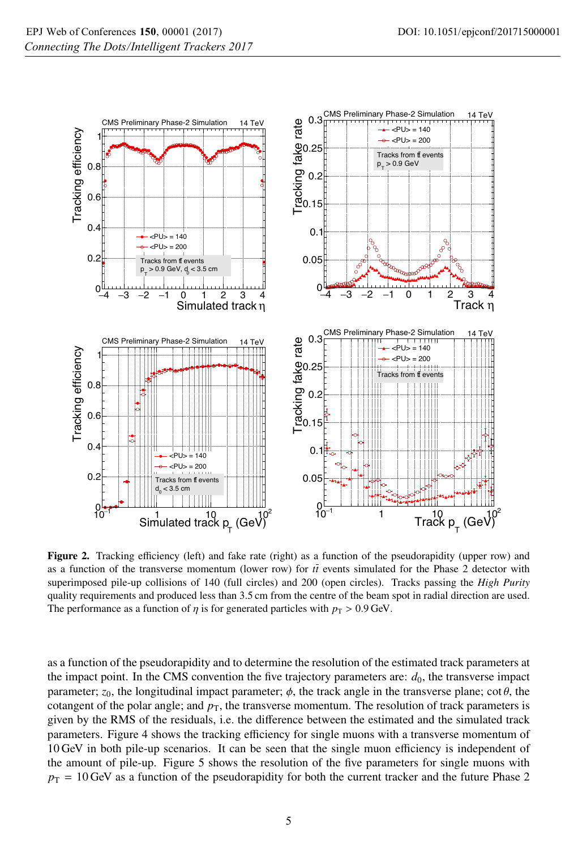

Figure 2. Tracking efficiency (left) and fake rate (right) as a function of the pseudorapidity (upper row) and as a function of the transverse momentum (lower row) for  $t\bar{t}$  events simulated for the Phase 2 detector with superimposed pile-up collisions of 140 (full circles) and 200 (open circles). Tracks passing the *High Purity* quality requirements and produced less than 3.5 cm from the centre of the beam spot in radial direction are used. The performance as a function of  $\eta$  is for generated particles with  $p_T > 0.9$  GeV.

as a function of the pseudorapidity and to determine the resolution of the estimated track parameters at the impact point. In the CMS convention the five trajectory parameters are:  $d_0$ , the transverse impact parameter;  $z_0$ , the longitudinal impact parameter;  $\phi$ , the track angle in the transverse plane; cot  $\theta$ , the cotangent of the polar angle; and  $p<sub>T</sub>$ , the transverse momentum. The resolution of track parameters is given by the RMS of the residuals, i.e. the difference between the estimated and the simulated track parameters. Figure 4 shows the tracking efficiency for single muons with a transverse momentum of 10 GeV in both pile-up scenarios. It can be seen that the single muon efficiency is independent of the amount of pile-up. Figure 5 shows the resolution of the five parameters for single muons with  $p_T = 10$  GeV as a function of the pseudorapidity for both the current tracker and the future Phase 2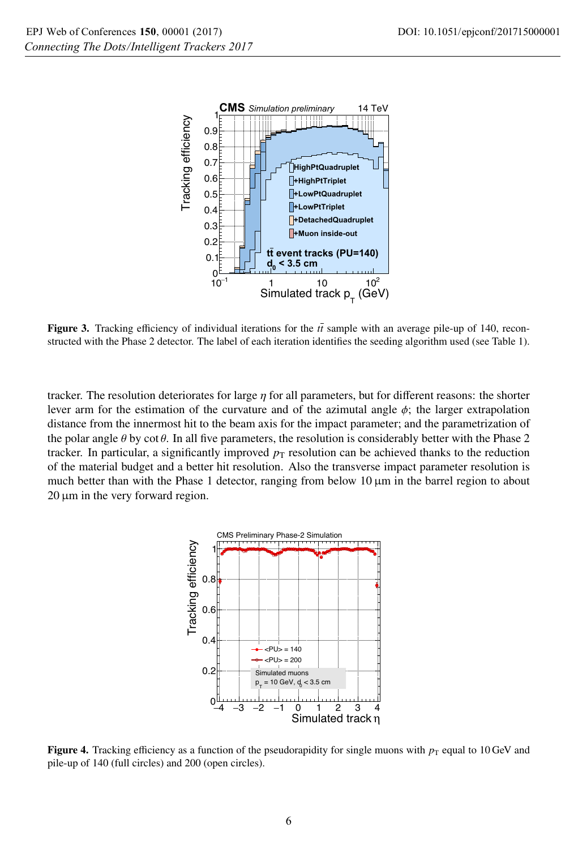

Figure 3. Tracking efficiency of individual iterations for the  $t\bar{t}$  sample with an average pile-up of 140, reconstructed with the Phase 2 detector. The label of each iteration identifies the seeding algorithm used (see Table 1).

tracker. The resolution deteriorates for large  $\eta$  for all parameters, but for different reasons: the shorter lever arm for the estimation of the curvature and of the azimutal angle  $\phi$ ; the larger extrapolation distance from the innermost hit to the beam axis for the impact parameter; and the parametrization of the polar angle  $\theta$  by cot  $\theta$ . In all five parameters, the resolution is considerably better with the Phase 2 tracker. In particular, a significantly improved  $p<sub>T</sub>$  resolution can be achieved thanks to the reduction of the material budget and a better hit resolution. Also the transverse impact parameter resolution is much better than with the Phase 1 detector, ranging from below  $10 \mu m$  in the barrel region to about 20 μm in the very forward region.



Figure 4. Tracking efficiency as a function of the pseudorapidity for single muons with  $p_T$  equal to 10 GeV and pile-up of 140 (full circles) and 200 (open circles).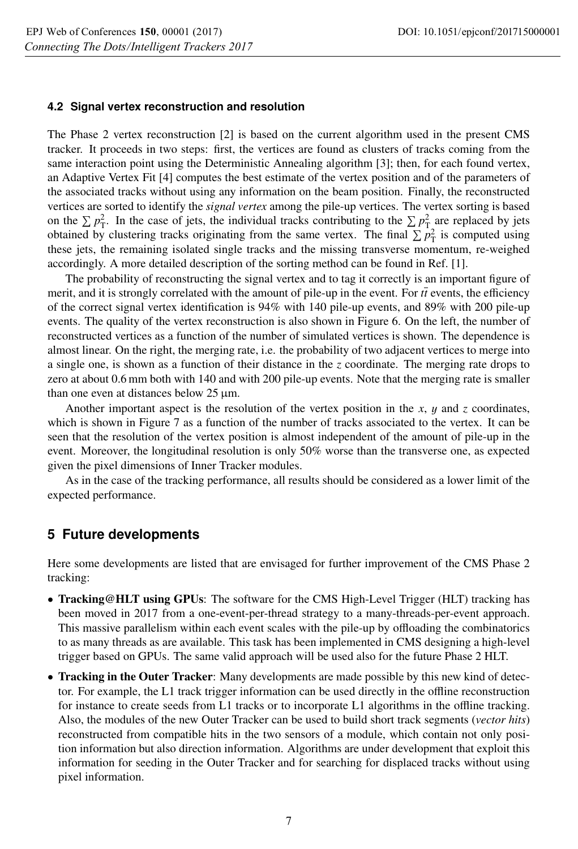#### **4.2 Signal vertex reconstruction and resolution**

The Phase 2 vertex reconstruction [2] is based on the current algorithm used in the present CMS tracker. It proceeds in two steps: first, the vertices are found as clusters of tracks coming from the same interaction point using the Deterministic Annealing algorithm [3]; then, for each found vertex, an Adaptive Vertex Fit [4] computes the best estimate of the vertex position and of the parameters of the associated tracks without using any information on the beam position. Finally, the reconstructed vertices are sorted to identify the *signal vertex* among the pile-up vertices. The vertex sorting is based on the  $\sum p_T^2$ . In the case of jets, the individual tracks contributing to the  $\sum p_T^2$  are replaced by jets obtained by clustering tracks originating from the same vertex. The final  $\sum p_T^2$  is computed using these jets, the remaining isolated single tracks and the missing transverse momentum, re-weighed accordingly. A more detailed description of the sorting method can be found in Ref. [1].

The probability of reconstructing the signal vertex and to tag it correctly is an important figure of merit, and it is strongly correlated with the amount of pile-up in the event. For  $t\bar{t}$  events, the efficiency of the correct signal vertex identification is 94% with 140 pile-up events, and 89% with 200 pile-up events. The quality of the vertex reconstruction is also shown in Figure 6. On the left, the number of reconstructed vertices as a function of the number of simulated vertices is shown. The dependence is almost linear. On the right, the merging rate, i.e. the probability of two adjacent vertices to merge into a single one, is shown as a function of their distance in the *z* coordinate. The merging rate drops to zero at about 0.6 mm both with 140 and with 200 pile-up events. Note that the merging rate is smaller than one even at distances below 25 μm.

Another important aspect is the resolution of the vertex position in the *x*, y and *z* coordinates, which is shown in Figure 7 as a function of the number of tracks associated to the vertex. It can be seen that the resolution of the vertex position is almost independent of the amount of pile-up in the event. Moreover, the longitudinal resolution is only 50% worse than the transverse one, as expected given the pixel dimensions of Inner Tracker modules.

As in the case of the tracking performance, all results should be considered as a lower limit of the expected performance.

### **5 Future developments**

Here some developments are listed that are envisaged for further improvement of the CMS Phase 2 tracking:

- Tracking@HLT using GPUs: The software for the CMS High-Level Trigger (HLT) tracking has been moved in 2017 from a one-event-per-thread strategy to a many-threads-per-event approach. This massive parallelism within each event scales with the pile-up by offloading the combinatorics to as many threads as are available. This task has been implemented in CMS designing a high-level trigger based on GPUs. The same valid approach will be used also for the future Phase 2 HLT.
- Tracking in the Outer Tracker: Many developments are made possible by this new kind of detector. For example, the L1 track trigger information can be used directly in the offline reconstruction for instance to create seeds from L1 tracks or to incorporate L1 algorithms in the offline tracking. Also, the modules of the new Outer Tracker can be used to build short track segments (*vector hits*) reconstructed from compatible hits in the two sensors of a module, which contain not only position information but also direction information. Algorithms are under development that exploit this information for seeding in the Outer Tracker and for searching for displaced tracks without using pixel information.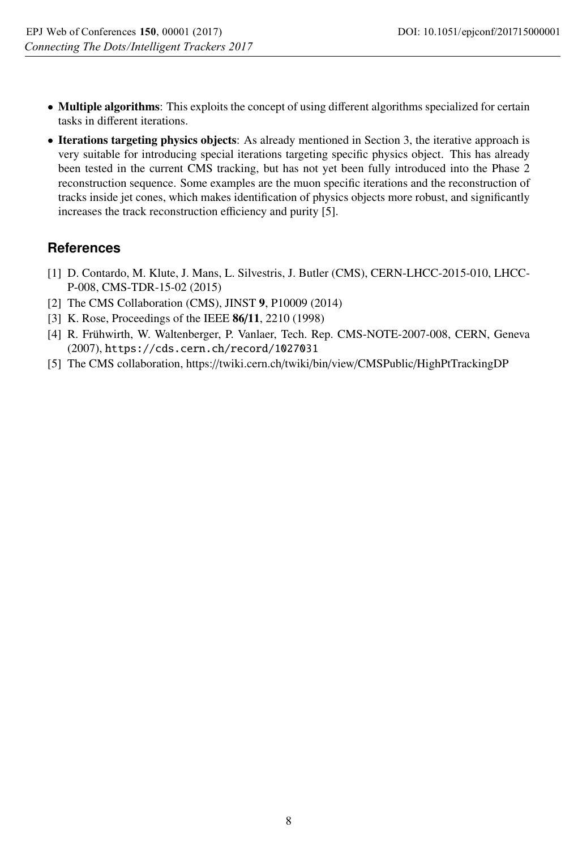- Multiple algorithms: This exploits the concept of using different algorithms specialized for certain tasks in different iterations.
- Iterations targeting physics objects: As already mentioned in Section 3, the iterative approach is very suitable for introducing special iterations targeting specific physics object. This has already been tested in the current CMS tracking, but has not yet been fully introduced into the Phase 2 reconstruction sequence. Some examples are the muon specific iterations and the reconstruction of tracks inside jet cones, which makes identification of physics objects more robust, and significantly increases the track reconstruction efficiency and purity [5].

# **References**

- [1] D. Contardo, M. Klute, J. Mans, L. Silvestris, J. Butler (CMS), CERN-LHCC-2015-010, LHCC-P-008, CMS-TDR-15-02 (2015)
- [2] The CMS Collaboration (CMS), JINST 9, P10009 (2014)
- [3] K. Rose, Proceedings of the IEEE 86/11, 2210 (1998)
- [4] R. Frühwirth, W. Waltenberger, P. Vanlaer, Tech. Rep. CMS-NOTE-2007-008, CERN, Geneva (2007), https://cds.cern.ch/record/1027031
- [5] The CMS collaboration, https://twiki.cern.ch/twiki/bin/view/CMSPublic/HighPtTrackingDP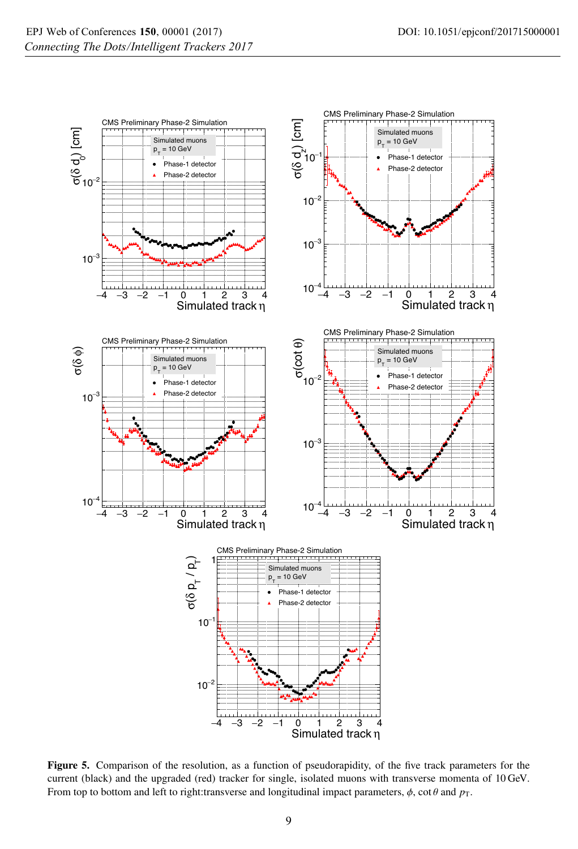

Figure 5. Comparison of the resolution, as a function of pseudorapidity, of the five track parameters for the current (black) and the upgraded (red) tracker for single, isolated muons with transverse momenta of 10 GeV. From top to bottom and left to right:transverse and longitudinal impact parameters,  $\phi$ , cot  $\theta$  and  $p_T$ .